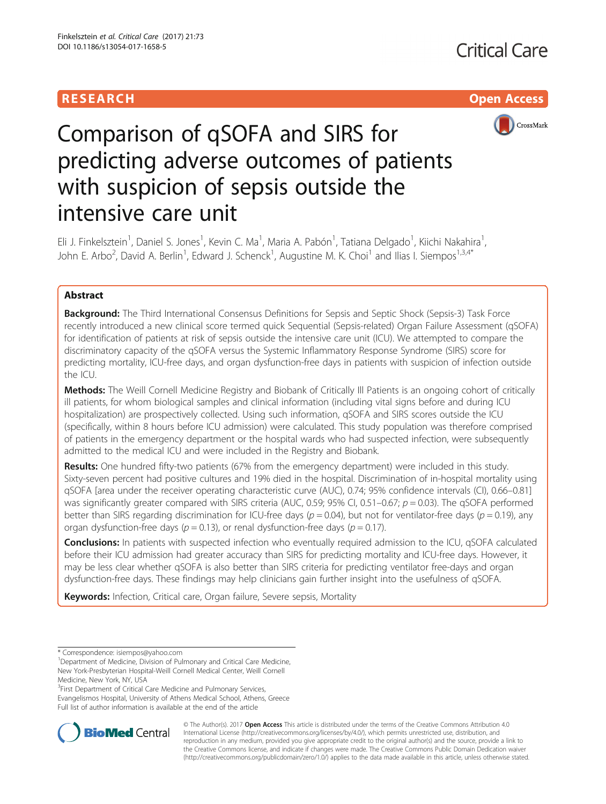# **RESEARCH CHILD CONTROL** CONTROL CONTROL CONTROL CONTROL CONTROL CONTROL CONTROL CONTROL CONTROL CONTROL CONTROL CONTROL CONTROL CONTROL CONTROL CONTROL CONTROL CONTROL CONTROL CONTROL CONTROL CONTROL CONTROL CONTROL CONTR



# Comparison of qSOFA and SIRS for predicting adverse outcomes of patients with suspicion of sepsis outside the intensive care unit

Eli J. Finkelsztein<sup>1</sup>, Daniel S. Jones<sup>1</sup>, Kevin C. Ma<sup>1</sup>, Maria A. Pabón<sup>1</sup>, Tatiana Delgado<sup>1</sup>, Kiichi Nakahira<sup>1</sup> , John E. Arbo<sup>2</sup>, David A. Berlin<sup>1</sup>, Edward J. Schenck<sup>1</sup>, Augustine M. K. Choi<sup>1</sup> and Ilias I. Siempos<sup>1,3,4\*</sup>

# Abstract

**Background:** The Third International Consensus Definitions for Sepsis and Septic Shock (Sepsis-3) Task Force recently introduced a new clinical score termed quick Sequential (Sepsis-related) Organ Failure Assessment (qSOFA) for identification of patients at risk of sepsis outside the intensive care unit (ICU). We attempted to compare the discriminatory capacity of the qSOFA versus the Systemic Inflammatory Response Syndrome (SIRS) score for predicting mortality, ICU-free days, and organ dysfunction-free days in patients with suspicion of infection outside the ICU.

Methods: The Weill Cornell Medicine Registry and Biobank of Critically III Patients is an ongoing cohort of critically ill patients, for whom biological samples and clinical information (including vital signs before and during ICU hospitalization) are prospectively collected. Using such information, qSOFA and SIRS scores outside the ICU (specifically, within 8 hours before ICU admission) were calculated. This study population was therefore comprised of patients in the emergency department or the hospital wards who had suspected infection, were subsequently admitted to the medical ICU and were included in the Registry and Biobank.

Results: One hundred fifty-two patients (67% from the emergency department) were included in this study. Sixty-seven percent had positive cultures and 19% died in the hospital. Discrimination of in-hospital mortality using qSOFA [area under the receiver operating characteristic curve (AUC), 0.74; 95% confidence intervals (CI), 0.66–0.81] was significantly greater compared with SIRS criteria (AUC, 0.59; 95% CI, 0.51–0.67;  $p = 0.03$ ). The qSOFA performed better than SIRS regarding discrimination for ICU-free days ( $p = 0.04$ ), but not for ventilator-free days ( $p = 0.19$ ), any organ dysfunction-free days ( $p = 0.13$ ), or renal dysfunction-free days ( $p = 0.17$ ).

Conclusions: In patients with suspected infection who eventually required admission to the ICU, qSOFA calculated before their ICU admission had greater accuracy than SIRS for predicting mortality and ICU-free days. However, it may be less clear whether qSOFA is also better than SIRS criteria for predicting ventilator free-days and organ dysfunction-free days. These findings may help clinicians gain further insight into the usefulness of qSOFA.

Keywords: Infection, Critical care, Organ failure, Severe sepsis, Mortality

<sup>3</sup>First Department of Critical Care Medicine and Pulmonary Services, Evangelismos Hospital, University of Athens Medical School, Athens, Greece Full list of author information is available at the end of the article



© The Author(s). 2017 **Open Access** This article is distributed under the terms of the Creative Commons Attribution 4.0 International License [\(http://creativecommons.org/licenses/by/4.0/](http://creativecommons.org/licenses/by/4.0/)), which permits unrestricted use, distribution, and reproduction in any medium, provided you give appropriate credit to the original author(s) and the source, provide a link to the Creative Commons license, and indicate if changes were made. The Creative Commons Public Domain Dedication waiver [\(http://creativecommons.org/publicdomain/zero/1.0/](http://creativecommons.org/publicdomain/zero/1.0/)) applies to the data made available in this article, unless otherwise stated.

<sup>\*</sup> Correspondence: [isiempos@yahoo.com](mailto:isiempos@yahoo.com) <sup>1</sup>

<sup>&</sup>lt;sup>1</sup>Department of Medicine, Division of Pulmonary and Critical Care Medicine, New York-Presbyterian Hospital-Weill Cornell Medical Center, Weill Cornell Medicine, New York, NY, USA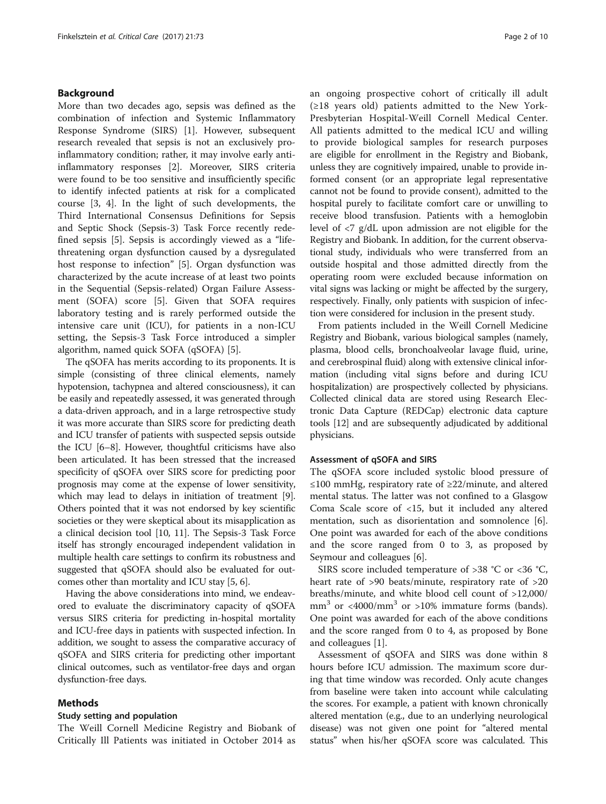# Background

More than two decades ago, sepsis was defined as the combination of infection and Systemic Inflammatory Response Syndrome (SIRS) [[1\]](#page-8-0). However, subsequent research revealed that sepsis is not an exclusively proinflammatory condition; rather, it may involve early antiinflammatory responses [[2\]](#page-8-0). Moreover, SIRS criteria were found to be too sensitive and insufficiently specific to identify infected patients at risk for a complicated course [[3, 4](#page-8-0)]. In the light of such developments, the Third International Consensus Definitions for Sepsis and Septic Shock (Sepsis-3) Task Force recently redefined sepsis [\[5](#page-8-0)]. Sepsis is accordingly viewed as a "lifethreatening organ dysfunction caused by a dysregulated host response to infection" [\[5](#page-8-0)]. Organ dysfunction was characterized by the acute increase of at least two points in the Sequential (Sepsis-related) Organ Failure Assessment (SOFA) score [\[5](#page-8-0)]. Given that SOFA requires laboratory testing and is rarely performed outside the intensive care unit (ICU), for patients in a non-ICU setting, the Sepsis-3 Task Force introduced a simpler algorithm, named quick SOFA (qSOFA) [[5\]](#page-8-0).

The qSOFA has merits according to its proponents. It is simple (consisting of three clinical elements, namely hypotension, tachypnea and altered consciousness), it can be easily and repeatedly assessed, it was generated through a data-driven approach, and in a large retrospective study it was more accurate than SIRS score for predicting death and ICU transfer of patients with suspected sepsis outside the ICU [[6](#page-8-0)–[8](#page-8-0)]. However, thoughtful criticisms have also been articulated. It has been stressed that the increased specificity of qSOFA over SIRS score for predicting poor prognosis may come at the expense of lower sensitivity, which may lead to delays in initiation of treatment [[9](#page-8-0)]. Others pointed that it was not endorsed by key scientific societies or they were skeptical about its misapplication as a clinical decision tool [[10](#page-8-0), [11\]](#page-8-0). The Sepsis-3 Task Force itself has strongly encouraged independent validation in multiple health care settings to confirm its robustness and suggested that qSOFA should also be evaluated for outcomes other than mortality and ICU stay [\[5](#page-8-0), [6\]](#page-8-0).

Having the above considerations into mind, we endeavored to evaluate the discriminatory capacity of qSOFA versus SIRS criteria for predicting in-hospital mortality and ICU-free days in patients with suspected infection. In addition, we sought to assess the comparative accuracy of qSOFA and SIRS criteria for predicting other important clinical outcomes, such as ventilator-free days and organ dysfunction-free days.

# Methods

# Study setting and population

The Weill Cornell Medicine Registry and Biobank of Critically Ill Patients was initiated in October 2014 as an ongoing prospective cohort of critically ill adult (≥18 years old) patients admitted to the New York-Presbyterian Hospital-Weill Cornell Medical Center. All patients admitted to the medical ICU and willing to provide biological samples for research purposes are eligible for enrollment in the Registry and Biobank, unless they are cognitively impaired, unable to provide informed consent (or an appropriate legal representative cannot not be found to provide consent), admitted to the hospital purely to facilitate comfort care or unwilling to receive blood transfusion. Patients with a hemoglobin level of <7 g/dL upon admission are not eligible for the Registry and Biobank. In addition, for the current observational study, individuals who were transferred from an outside hospital and those admitted directly from the operating room were excluded because information on vital signs was lacking or might be affected by the surgery, respectively. Finally, only patients with suspicion of infection were considered for inclusion in the present study.

From patients included in the Weill Cornell Medicine Registry and Biobank, various biological samples (namely, plasma, blood cells, bronchoalveolar lavage fluid, urine, and cerebrospinal fluid) along with extensive clinical information (including vital signs before and during ICU hospitalization) are prospectively collected by physicians. Collected clinical data are stored using Research Electronic Data Capture (REDCap) electronic data capture tools [[12](#page-8-0)] and are subsequently adjudicated by additional physicians.

# Assessment of qSOFA and SIRS

The qSOFA score included systolic blood pressure of ≤100 mmHg, respiratory rate of ≥22/minute, and altered mental status. The latter was not confined to a Glasgow Coma Scale score of <15, but it included any altered mentation, such as disorientation and somnolence [\[6](#page-8-0)]. One point was awarded for each of the above conditions and the score ranged from 0 to 3, as proposed by Seymour and colleagues [\[6](#page-8-0)].

SIRS score included temperature of >38 °C or <36 °C, heart rate of >90 beats/minute, respiratory rate of >20 breaths/minute, and white blood cell count of >12,000/ mm<sup>3</sup> or  $\langle 4000 / \text{mm}^3$  or  $>10\%$  immature forms (bands). One point was awarded for each of the above conditions and the score ranged from 0 to 4, as proposed by Bone and colleagues [\[1](#page-8-0)].

Assessment of qSOFA and SIRS was done within 8 hours before ICU admission. The maximum score during that time window was recorded. Only acute changes from baseline were taken into account while calculating the scores. For example, a patient with known chronically altered mentation (e.g., due to an underlying neurological disease) was not given one point for "altered mental status" when his/her qSOFA score was calculated. This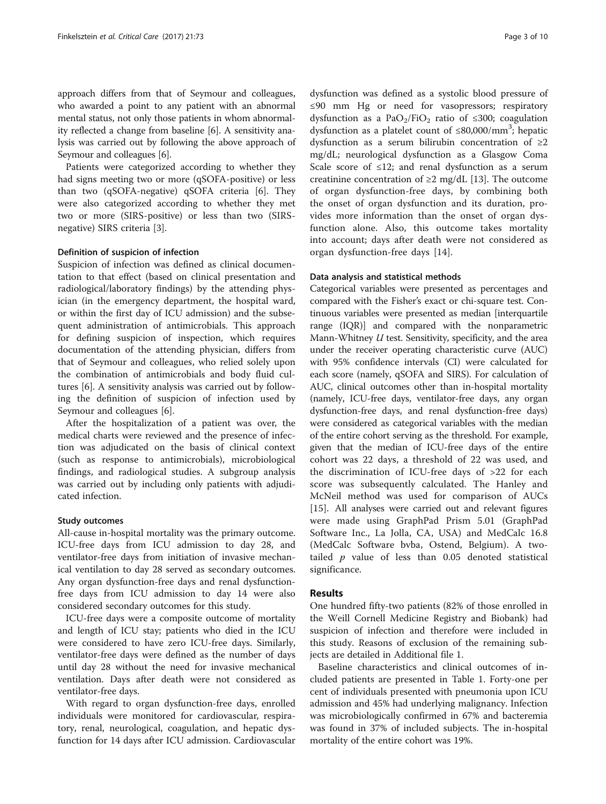approach differs from that of Seymour and colleagues, who awarded a point to any patient with an abnormal mental status, not only those patients in whom abnormality reflected a change from baseline [\[6](#page-8-0)]. A sensitivity analysis was carried out by following the above approach of Seymour and colleagues [[6\]](#page-8-0).

Patients were categorized according to whether they had signs meeting two or more (qSOFA-positive) or less than two (qSOFA-negative) qSOFA criteria [[6\]](#page-8-0). They were also categorized according to whether they met two or more (SIRS-positive) or less than two (SIRSnegative) SIRS criteria [[3\]](#page-8-0).

# Definition of suspicion of infection

Suspicion of infection was defined as clinical documentation to that effect (based on clinical presentation and radiological/laboratory findings) by the attending physician (in the emergency department, the hospital ward, or within the first day of ICU admission) and the subsequent administration of antimicrobials. This approach for defining suspicion of inspection, which requires documentation of the attending physician, differs from that of Seymour and colleagues, who relied solely upon the combination of antimicrobials and body fluid cultures [\[6](#page-8-0)]. A sensitivity analysis was carried out by following the definition of suspicion of infection used by Seymour and colleagues [\[6](#page-8-0)].

After the hospitalization of a patient was over, the medical charts were reviewed and the presence of infection was adjudicated on the basis of clinical context (such as response to antimicrobials), microbiological findings, and radiological studies. A subgroup analysis was carried out by including only patients with adjudicated infection.

# Study outcomes

All-cause in-hospital mortality was the primary outcome. ICU-free days from ICU admission to day 28, and ventilator-free days from initiation of invasive mechanical ventilation to day 28 served as secondary outcomes. Any organ dysfunction-free days and renal dysfunctionfree days from ICU admission to day 14 were also considered secondary outcomes for this study.

ICU-free days were a composite outcome of mortality and length of ICU stay; patients who died in the ICU were considered to have zero ICU-free days. Similarly, ventilator-free days were defined as the number of days until day 28 without the need for invasive mechanical ventilation. Days after death were not considered as ventilator-free days.

With regard to organ dysfunction-free days, enrolled individuals were monitored for cardiovascular, respiratory, renal, neurological, coagulation, and hepatic dysfunction for 14 days after ICU admission. Cardiovascular

dysfunction was defined as a systolic blood pressure of ≤90 mm Hg or need for vasopressors; respiratory dysfunction as a PaO<sub>2</sub>/FiO<sub>2</sub> ratio of ≤300; coagulation dysfunction as a platelet count of ≤80,000/mm<sup>3</sup> ; hepatic dysfunction as a serum bilirubin concentration of ≥2 mg/dL; neurological dysfunction as a Glasgow Coma Scale score of ≤12; and renal dysfunction as a serum creatinine concentration of  $\geq 2$  mg/dL [[13](#page-8-0)]. The outcome of organ dysfunction-free days, by combining both the onset of organ dysfunction and its duration, provides more information than the onset of organ dysfunction alone. Also, this outcome takes mortality into account; days after death were not considered as organ dysfunction-free days [[14\]](#page-8-0).

# Data analysis and statistical methods

Categorical variables were presented as percentages and compared with the Fisher's exact or chi-square test. Continuous variables were presented as median [interquartile range (IQR)] and compared with the nonparametric Mann-Whitney  $U$  test. Sensitivity, specificity, and the area under the receiver operating characteristic curve (AUC) with 95% confidence intervals (CI) were calculated for each score (namely, qSOFA and SIRS). For calculation of AUC, clinical outcomes other than in-hospital mortality (namely, ICU-free days, ventilator-free days, any organ dysfunction-free days, and renal dysfunction-free days) were considered as categorical variables with the median of the entire cohort serving as the threshold. For example, given that the median of ICU-free days of the entire cohort was 22 days, a threshold of 22 was used, and the discrimination of ICU-free days of >22 for each score was subsequently calculated. The Hanley and McNeil method was used for comparison of AUCs [[15\]](#page-8-0). All analyses were carried out and relevant figures were made using GraphPad Prism 5.01 (GraphPad Software Inc., La Jolla, CA, USA) and MedCalc 16.8 (MedCalc Software bvba, Ostend, Belgium). A twotailed  $p$  value of less than 0.05 denoted statistical significance.

# Results

One hundred fifty-two patients (82% of those enrolled in the Weill Cornell Medicine Registry and Biobank) had suspicion of infection and therefore were included in this study. Reasons of exclusion of the remaining subjects are detailed in Additional file [1.](#page-7-0)

Baseline characteristics and clinical outcomes of included patients are presented in Table [1](#page-3-0). Forty-one per cent of individuals presented with pneumonia upon ICU admission and 45% had underlying malignancy. Infection was microbiologically confirmed in 67% and bacteremia was found in 37% of included subjects. The in-hospital mortality of the entire cohort was 19%.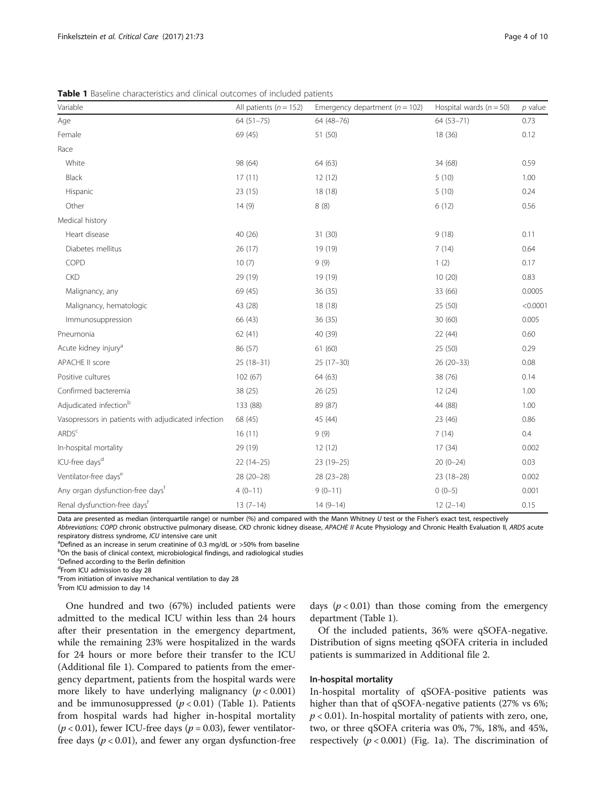<span id="page-3-0"></span>Table 1 Baseline characteristics and clinical outcomes of included patients

| Variable                                            | All patients ( $n = 152$ ) | Emergency department ( $n = 102$ ) | Hospital wards ( $n = 50$ ) | $p$ value |
|-----------------------------------------------------|----------------------------|------------------------------------|-----------------------------|-----------|
| Age                                                 | $64(51 - 75)$              | 64 (48-76)                         | $64(53 - 71)$               | 0.73      |
| Female                                              | 69 (45)                    | 51 (50)                            | 18 (36)                     | 0.12      |
| Race                                                |                            |                                    |                             |           |
| White                                               | 98 (64)                    | 64 (63)                            | 34 (68)                     | 0.59      |
| Black                                               | 17(11)                     | 12(12)                             | 5(10)                       | 1.00      |
| Hispanic                                            | 23(15)                     | 18 (18)                            | 5(10)                       | 0.24      |
| Other                                               | 14(9)                      | 8(8)                               | 6(12)                       | 0.56      |
| Medical history                                     |                            |                                    |                             |           |
| Heart disease                                       | 40 (26)                    | 31 (30)                            | 9(18)                       | 0.11      |
| Diabetes mellitus                                   | 26 (17)                    | 19 (19)                            | 7(14)                       | 0.64      |
| COPD                                                | 10(7)                      | 9(9)                               | 1(2)                        | 0.17      |
| <b>CKD</b>                                          | 29 (19)                    | 19 (19)                            | 10(20)                      | 0.83      |
| Malignancy, any                                     | 69 (45)                    | 36(35)                             | 33 (66)                     | 0.0005    |
| Malignancy, hematologic                             | 43 (28)                    | 18 (18)                            | 25 (50)                     | < 0.0001  |
| Immunosuppression                                   | 66 (43)                    | 36 (35)                            | 30 (60)                     | 0.005     |
| Pneumonia                                           | 62(41)                     | 40 (39)                            | 22(44)                      | 0.60      |
| Acute kidney injury <sup>a</sup>                    | 86 (57)                    | 61 (60)                            | 25 (50)                     | 0.29      |
| APACHE II score                                     | $25(18-31)$                | $25(17-30)$                        | $26(20-33)$                 | 0.08      |
| Positive cultures                                   | 102 (67)                   | 64 (63)                            | 38 (76)                     | 0.14      |
| Confirmed bacteremia                                | 38 (25)                    | 26(25)                             | 12(24)                      | 1.00      |
| Adjudicated infection <sup>b</sup>                  | 133 (88)                   | 89 (87)                            | 44 (88)                     | 1.00      |
| Vasopressors in patients with adjudicated infection | 68 (45)                    | 45 (44)                            | 23 (46)                     | 0.86      |
| <b>ARDS<sup>c</sup></b>                             | 16(11)                     | 9(9)                               | 7(14)                       | 0.4       |
| In-hospital mortality                               | 29 (19)                    | 12(12)                             | 17(34)                      | 0.002     |
| ICU-free days <sup>d</sup>                          | $22(14-25)$                | $23(19-25)$                        | $20(0-24)$                  | 0.03      |
| Ventilator-free days <sup>e</sup>                   | 28 (20-28)                 | $28(23-28)$                        | $23(18-28)$                 | 0.002     |
| Any organ dysfunction-free daysf                    | $4(0-11)$                  | $9(0-11)$                          | $0(0-5)$                    | 0.001     |
| Renal dysfunction-free days <sup>f</sup>            | $13(7-14)$                 | $14(9-14)$                         | $12(2-14)$                  | 0.15      |
|                                                     |                            |                                    |                             |           |

Data are presented as median (interquartile range) or number (%) and compared with the Mann Whitney U test or the Fisher's exact test, respectively Abbreviations: COPD chronic obstructive pulmonary disease, CKD chronic kidney disease, APACHE II Acute Physiology and Chronic Health Evaluation II, ARDS acute respiratory distress syndrome, ICU intensive care unit

 $^{\circ}$ Defined as an increase in serum creatinine of 0.3 mg/dL or >50% from baseline

<sup>b</sup>On the basis of clinical context, microbiological findings, and radiological studies

<sup>c</sup>Defined according to the Berlin definition

d From ICU admission to day 28

e From initiation of invasive mechanical ventilation to day 28

f From ICU admission to day 14

One hundred and two (67%) included patients were admitted to the medical ICU within less than 24 hours after their presentation in the emergency department, while the remaining 23% were hospitalized in the wards for 24 hours or more before their transfer to the ICU (Additional file [1](#page-7-0)). Compared to patients from the emergency department, patients from the hospital wards were more likely to have underlying malignancy  $(p < 0.001)$ and be immunosuppressed  $(p < 0.01)$  (Table 1). Patients from hospital wards had higher in-hospital mortality  $(p < 0.01)$ , fewer ICU-free days  $(p = 0.03)$ , fewer ventilatorfree days ( $p < 0.01$ ), and fewer any organ dysfunction-free days  $(p < 0.01)$  than those coming from the emergency department (Table 1).

Of the included patients, 36% were qSOFA-negative. Distribution of signs meeting qSOFA criteria in included patients is summarized in Additional file [2](#page-7-0).

# In-hospital mortality

In-hospital mortality of qSOFA-positive patients was higher than that of qSOFA-negative patients (27% vs 6%;  $p < 0.01$ ). In-hospital mortality of patients with zero, one, two, or three qSOFA criteria was 0%, 7%, 18%, and 45%, respectively  $(p < 0.001)$  (Fig. [1a\)](#page-4-0). The discrimination of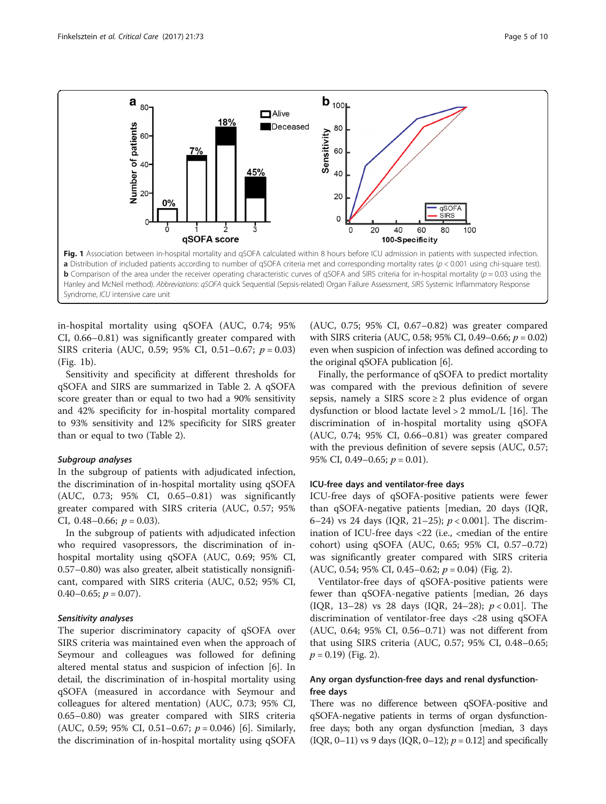<span id="page-4-0"></span>

Syndrome, ICU intensive care unit

in-hospital mortality using qSOFA (AUC, 0.74; 95% CI, 0.66–0.81) was significantly greater compared with SIRS criteria (AUC, 0.59; 95% CI, 0.51–0.67; p = 0.03) (Fig. 1b).

Sensitivity and specificity at different thresholds for qSOFA and SIRS are summarized in Table [2](#page-5-0). A qSOFA score greater than or equal to two had a 90% sensitivity and 42% specificity for in-hospital mortality compared to 93% sensitivity and 12% specificity for SIRS greater than or equal to two (Table [2](#page-5-0)).

In the subgroup of patients with adjudicated infection, the discrimination of in-hospital mortality using qSOFA (AUC, 0.73; 95% CI, 0.65–0.81) was significantly greater compared with SIRS criteria (AUC, 0.57; 95% CI, 0.48–0.66;  $p = 0.03$ ).

In the subgroup of patients with adjudicated infection who required vasopressors, the discrimination of inhospital mortality using qSOFA (AUC, 0.69; 95% CI, 0.57–0.80) was also greater, albeit statistically nonsignificant, compared with SIRS criteria (AUC, 0.52; 95% CI,  $0.40-0.65; p = 0.07$ ).

The superior discriminatory capacity of qSOFA over SIRS criteria was maintained even when the approach of Seymour and colleagues was followed for defining altered mental status and suspicion of infection [\[6](#page-8-0)]. In detail, the discrimination of in-hospital mortality using qSOFA (measured in accordance with Seymour and colleagues for altered mentation) (AUC, 0.73; 95% CI, 0.65–0.80) was greater compared with SIRS criteria (AUC, 0.59; 95% CI, 0.51–0.67;  $p = 0.046$ ) [\[6](#page-8-0)]. Similarly, the discrimination of in-hospital mortality using qSOFA (AUC, 0.75; 95% CI, 0.67–0.82) was greater compared with SIRS criteria (AUC, 0.58; 95% CI, 0.49–0.66;  $p = 0.02$ ) even when suspicion of infection was defined according to the original qSOFA publication [\[6](#page-8-0)].

Finally, the performance of qSOFA to predict mortality was compared with the previous definition of severe sepsis, namely a SIRS score  $\geq 2$  plus evidence of organ dysfunction or blood lactate level > 2 mmoL/L [[16\]](#page-8-0). The discrimination of in-hospital mortality using qSOFA (AUC, 0.74; 95% CI, 0.66–0.81) was greater compared with the previous definition of severe sepsis (AUC, 0.57; 95% CI, 0.49–0.65;  $p = 0.01$ ).

# ICU-free days and ventilator-free days

ICU-free days of qSOFA-positive patients were fewer than qSOFA-negative patients [median, 20 days (IQR, 6–24) vs 24 days (IQR, 21–25);  $p < 0.001$ ]. The discrimination of ICU-free days  $<22$  (i.e.,  $<$ median of the entire cohort) using qSOFA (AUC, 0.65; 95% CI, 0.57–0.72) was significantly greater compared with SIRS criteria (AUC, 0.54; 95% CI, 0.45–0.62;  $p = 0.04$ ) (Fig. [2](#page-6-0)).

Ventilator-free days of qSOFA-positive patients were fewer than qSOFA-negative patients [median, 26 days (IQR, 13-28) vs 28 days (IQR, 24-28);  $p < 0.01$ ]. The discrimination of ventilator-free days <28 using qSOFA (AUC, 0.64; 95% CI, 0.56–0.71) was not different from that using SIRS criteria (AUC, 0.57; 95% CI, 0.48–0.65;  $p = 0.19$  (Fig. [2\)](#page-6-0).

# Any organ dysfunction-free days and renal dysfunctionfree days

There was no difference between qSOFA-positive and qSOFA-negative patients in terms of organ dysfunctionfree days; both any organ dysfunction [median, 3 days  $(IQR, 0–11)$  vs 9 days  $(IQR, 0–12); p = 0.12]$  and specifically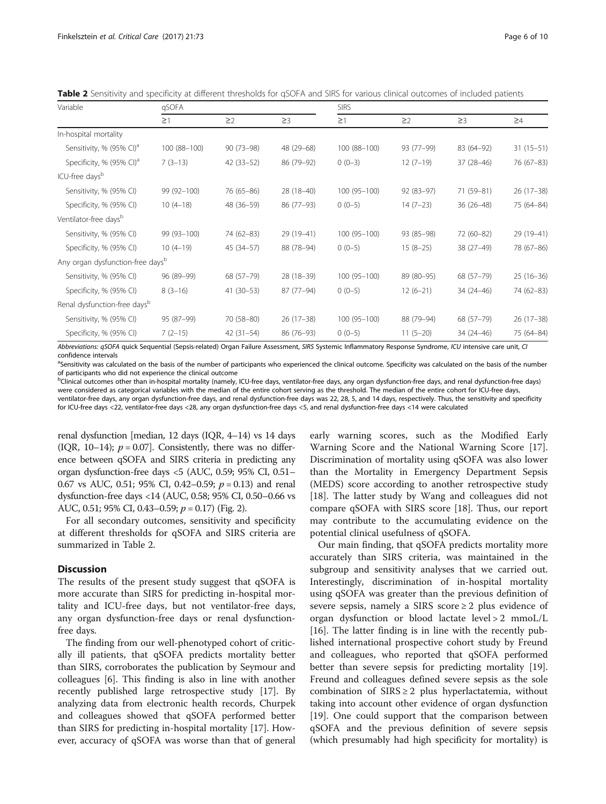| Variable                                     | qSOFA        |             |             | <b>SIRS</b>     |            |             |             |
|----------------------------------------------|--------------|-------------|-------------|-----------------|------------|-------------|-------------|
|                                              | $\geq$ 1     | $\geq$ 2    | $\geq$ 3    | $\geq$ 1        | $\geq$ 2   | $\geq$ 3    | $\geq 4$    |
| In-hospital mortality                        |              |             |             |                 |            |             |             |
| Sensitivity, % (95% CI) <sup>a</sup>         | 100 (88-100) | $90(73-98)$ | 48 (29-68)  | 100 (88-100)    | 93 (77-99) | 83 (64-92)  | 31 (15-51)  |
| Specificity, % (95% CI) <sup>a</sup>         | $7(3-13)$    | $42(33-52)$ | 86 (79-92)  | $0(0-3)$        | $12(7-19)$ | $37(28-46)$ | 76 (67-83)  |
| ICU-free days <sup>b</sup>                   |              |             |             |                 |            |             |             |
| Sensitivity, % (95% CI)                      | 99 (92-100)  | 76 (65-86)  | 28 (18-40)  | 100 (95-100)    | 92 (83-97) | 71 (59-81)  | 26 (17-38)  |
| Specificity, % (95% CI)                      | $10(4-18)$   | 48 (36-59)  | 86 (77-93)  | $0(0-5)$        | $14(7-23)$ | 36 (26-48)  | 75 (64-84)  |
| Ventilator-free days <sup>b</sup>            |              |             |             |                 |            |             |             |
| Sensitivity, % (95% CI)                      | 99 (93-100)  | 74 (62-83)  | 29 (19-41)  | 100 (95-100)    | 93 (85-98) | 72 (60-82)  | 29 (19-41)  |
| Specificity, % (95% CI)                      | $10(4-19)$   | 45 (34-57)  | 88 (78-94)  | $0(0-5)$        | $15(8-25)$ | 38 (27-49)  | 78 (67-86)  |
| Any organ dysfunction-free days <sup>b</sup> |              |             |             |                 |            |             |             |
| Sensitivity, % (95% CI)                      | 96 (89-99)   | 68 (57-79)  | 28 (18-39)  | $100(95 - 100)$ | 89 (80-95) | 68 (57-79)  | 25 (16-36)  |
| Specificity, % (95% CI)                      | $8(3-16)$    | 41 (30-53)  | 87 (77-94)  | $0(0-5)$        | $12(6-21)$ | 34 (24-46)  | 74 (62-83)  |
| Renal dysfunction-free days <sup>b</sup>     |              |             |             |                 |            |             |             |
| Sensitivity, % (95% CI)                      | 95 (87-99)   | 70 (58-80)  | $26(17-38)$ | 100 (95-100)    | 88 (79-94) | 68 (57-79)  | $26(17-38)$ |
| Specificity, % (95% CI)                      | $7(2-15)$    | $42(31-54)$ | 86 (76-93)  | $0(0-5)$        | $11(5-20)$ | 34 (24-46)  | 75 (64-84)  |

<span id="page-5-0"></span>Table 2 Sensitivity and specificity at different thresholds for qSOFA and SIRS for various clinical outcomes of included patients

Abbreviations: qSOFA quick Sequential (Sepsis-related) Organ Failure Assessment, SIRS Systemic Inflammatory Response Syndrome, ICU intensive care unit, CI confidence intervals

<sup>a</sup>Sensitivity was calculated on the basis of the number of participants who experienced the clinical outcome. Specificity was calculated on the basis of the number of participants who did not experience the clinical outcome

b Clinical outcomes other than in-hospital mortality (namely, ICU-free days, ventilator-free days, any organ dysfunction-free days, and renal dysfunction-free days) were considered as categorical variables with the median of the entire cohort serving as the threshold. The median of the entire cohort for ICU-free days, ventilator-free days, any organ dysfunction-free days, and renal dysfunction-free days was 22, 28, 5, and 14 days, respectively. Thus, the sensitivity and specificity for ICU-free days <22, ventilator-free days <28, any organ dysfunction-free days <5, and renal dysfunction-free days <14 were calculated

renal dysfunction [median, 12 days (IQR, 4–14) vs 14 days (IQR, 10–14);  $p = 0.07$ . Consistently, there was no difference between qSOFA and SIRS criteria in predicting any organ dysfunction-free days <5 (AUC, 0.59; 95% CI, 0.51– 0.67 vs AUC, 0.51; 95% CI, 0.42–0.59;  $p = 0.13$ ) and renal dysfunction-free days <14 (AUC, 0.58; 95% CI, 0.50–0.66 vs AUC, 0.51; 95% CI, 0.43–0.59;  $p = 0.17$ ) (Fig. [2\)](#page-6-0).

For all secondary outcomes, sensitivity and specificity at different thresholds for qSOFA and SIRS criteria are summarized in Table 2.

# **Discussion**

The results of the present study suggest that qSOFA is more accurate than SIRS for predicting in-hospital mortality and ICU-free days, but not ventilator-free days, any organ dysfunction-free days or renal dysfunctionfree days.

The finding from our well-phenotyped cohort of critically ill patients, that qSOFA predicts mortality better than SIRS, corroborates the publication by Seymour and colleagues [[6\]](#page-8-0). This finding is also in line with another recently published large retrospective study [[17](#page-8-0)]. By analyzing data from electronic health records, Churpek and colleagues showed that qSOFA performed better than SIRS for predicting in-hospital mortality [\[17](#page-8-0)]. However, accuracy of qSOFA was worse than that of general early warning scores, such as the Modified Early Warning Score and the National Warning Score [\[17](#page-8-0)]. Discrimination of mortality using qSOFA was also lower than the Mortality in Emergency Department Sepsis (MEDS) score according to another retrospective study [[18\]](#page-8-0). The latter study by Wang and colleagues did not compare qSOFA with SIRS score [[18\]](#page-8-0). Thus, our report may contribute to the accumulating evidence on the potential clinical usefulness of qSOFA.

Our main finding, that qSOFA predicts mortality more accurately than SIRS criteria, was maintained in the subgroup and sensitivity analyses that we carried out. Interestingly, discrimination of in-hospital mortality using qSOFA was greater than the previous definition of severe sepsis, namely a SIRS score  $\geq 2$  plus evidence of organ dysfunction or blood lactate level > 2 mmoL/L [[16\]](#page-8-0). The latter finding is in line with the recently published international prospective cohort study by Freund and colleagues, who reported that qSOFA performed better than severe sepsis for predicting mortality [\[19](#page-8-0)]. Freund and colleagues defined severe sepsis as the sole combination of  $SIRS \geq 2$  plus hyperlactatemia, without taking into account other evidence of organ dysfunction [[19\]](#page-8-0). One could support that the comparison between qSOFA and the previous definition of severe sepsis (which presumably had high specificity for mortality) is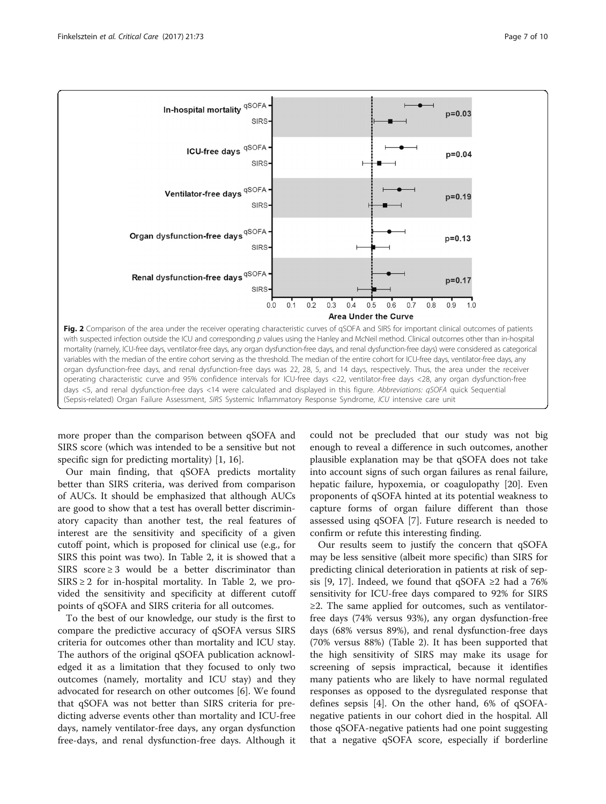<span id="page-6-0"></span>

more proper than the comparison between qSOFA and SIRS score (which was intended to be a sensitive but not specific sign for predicting mortality) [[1, 16](#page-8-0)].

Our main finding, that qSOFA predicts mortality better than SIRS criteria, was derived from comparison of AUCs. It should be emphasized that although AUCs are good to show that a test has overall better discriminatory capacity than another test, the real features of interest are the sensitivity and specificity of a given cutoff point, which is proposed for clinical use (e.g., for SIRS this point was two). In Table [2,](#page-5-0) it is showed that a SIRS score  $\geq$  3 would be a better discriminator than  $SIRS \geq 2$  for in-hospital mortality. In Table [2,](#page-5-0) we provided the sensitivity and specificity at different cutoff points of qSOFA and SIRS criteria for all outcomes.

To the best of our knowledge, our study is the first to compare the predictive accuracy of qSOFA versus SIRS criteria for outcomes other than mortality and ICU stay. The authors of the original qSOFA publication acknowledged it as a limitation that they focused to only two outcomes (namely, mortality and ICU stay) and they advocated for research on other outcomes [\[6\]](#page-8-0). We found that qSOFA was not better than SIRS criteria for predicting adverse events other than mortality and ICU-free days, namely ventilator-free days, any organ dysfunction free-days, and renal dysfunction-free days. Although it could not be precluded that our study was not big enough to reveal a difference in such outcomes, another plausible explanation may be that qSOFA does not take into account signs of such organ failures as renal failure, hepatic failure, hypoxemia, or coagulopathy [[20\]](#page-9-0). Even proponents of qSOFA hinted at its potential weakness to capture forms of organ failure different than those assessed using qSOFA [\[7](#page-8-0)]. Future research is needed to confirm or refute this interesting finding.

Our results seem to justify the concern that qSOFA may be less sensitive (albeit more specific) than SIRS for predicting clinical deterioration in patients at risk of sep-sis [[9, 17](#page-8-0)]. Indeed, we found that qSOFA  $\geq$ 2 had a 76% sensitivity for ICU-free days compared to 92% for SIRS ≥2. The same applied for outcomes, such as ventilatorfree days (74% versus 93%), any organ dysfunction-free days (68% versus 89%), and renal dysfunction-free days (70% versus 88%) (Table [2](#page-5-0)). It has been supported that the high sensitivity of SIRS may make its usage for screening of sepsis impractical, because it identifies many patients who are likely to have normal regulated responses as opposed to the dysregulated response that defines sepsis [\[4\]](#page-8-0). On the other hand, 6% of qSOFAnegative patients in our cohort died in the hospital. All those qSOFA-negative patients had one point suggesting that a negative qSOFA score, especially if borderline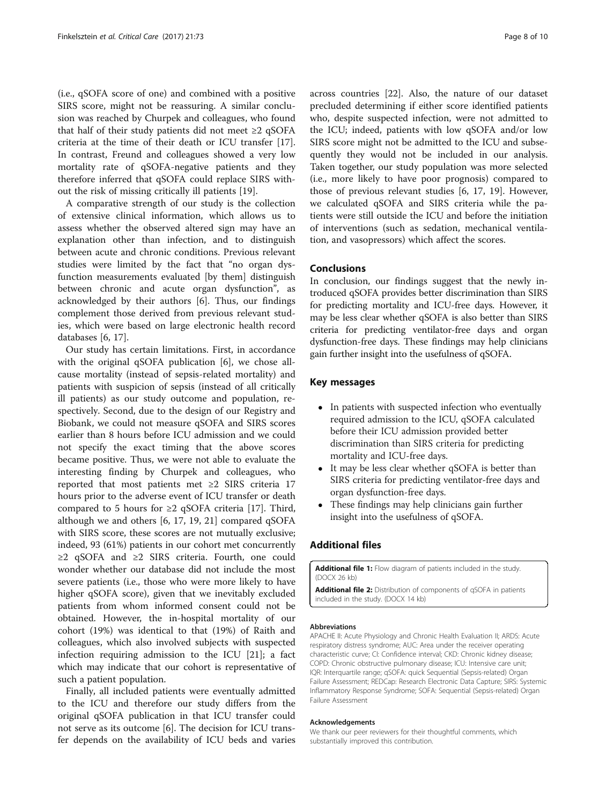<span id="page-7-0"></span>(i.e., qSOFA score of one) and combined with a positive SIRS score, might not be reassuring. A similar conclusion was reached by Churpek and colleagues, who found that half of their study patients did not meet  $\geq 2$  qSOFA criteria at the time of their death or ICU transfer [\[17](#page-8-0)]. In contrast, Freund and colleagues showed a very low mortality rate of qSOFA-negative patients and they therefore inferred that qSOFA could replace SIRS without the risk of missing critically ill patients [\[19](#page-8-0)].

A comparative strength of our study is the collection of extensive clinical information, which allows us to assess whether the observed altered sign may have an explanation other than infection, and to distinguish between acute and chronic conditions. Previous relevant studies were limited by the fact that "no organ dysfunction measurements evaluated [by them] distinguish between chronic and acute organ dysfunction", as acknowledged by their authors [\[6\]](#page-8-0). Thus, our findings complement those derived from previous relevant studies, which were based on large electronic health record databases [[6](#page-8-0), [17](#page-8-0)].

Our study has certain limitations. First, in accordance with the original qSOFA publication [\[6](#page-8-0)], we chose allcause mortality (instead of sepsis-related mortality) and patients with suspicion of sepsis (instead of all critically ill patients) as our study outcome and population, respectively. Second, due to the design of our Registry and Biobank, we could not measure qSOFA and SIRS scores earlier than 8 hours before ICU admission and we could not specify the exact timing that the above scores became positive. Thus, we were not able to evaluate the interesting finding by Churpek and colleagues, who reported that most patients met ≥2 SIRS criteria 17 hours prior to the adverse event of ICU transfer or death compared to 5 hours for  $\geq 2$  qSOFA criteria [\[17](#page-8-0)]. Third, although we and others [\[6](#page-8-0), [17](#page-8-0), [19,](#page-8-0) [21\]](#page-9-0) compared qSOFA with SIRS score, these scores are not mutually exclusive; indeed, 93 (61%) patients in our cohort met concurrently ≥2 qSOFA and ≥2 SIRS criteria. Fourth, one could wonder whether our database did not include the most severe patients (i.e., those who were more likely to have higher qSOFA score), given that we inevitably excluded patients from whom informed consent could not be obtained. However, the in-hospital mortality of our cohort (19%) was identical to that (19%) of Raith and colleagues, which also involved subjects with suspected infection requiring admission to the ICU [\[21](#page-9-0)]; a fact which may indicate that our cohort is representative of such a patient population.

Finally, all included patients were eventually admitted to the ICU and therefore our study differs from the original qSOFA publication in that ICU transfer could not serve as its outcome [[6\]](#page-8-0). The decision for ICU transfer depends on the availability of ICU beds and varies across countries [\[22](#page-9-0)]. Also, the nature of our dataset precluded determining if either score identified patients who, despite suspected infection, were not admitted to the ICU; indeed, patients with low qSOFA and/or low SIRS score might not be admitted to the ICU and subsequently they would not be included in our analysis. Taken together, our study population was more selected (i.e., more likely to have poor prognosis) compared to those of previous relevant studies [[6, 17, 19](#page-8-0)]. However, we calculated qSOFA and SIRS criteria while the patients were still outside the ICU and before the initiation of interventions (such as sedation, mechanical ventilation, and vasopressors) which affect the scores.

# Conclusions

In conclusion, our findings suggest that the newly introduced qSOFA provides better discrimination than SIRS for predicting mortality and ICU-free days. However, it may be less clear whether qSOFA is also better than SIRS criteria for predicting ventilator-free days and organ dysfunction-free days. These findings may help clinicians gain further insight into the usefulness of qSOFA.

# Key messages

- In patients with suspected infection who eventually required admission to the ICU, qSOFA calculated before their ICU admission provided better discrimination than SIRS criteria for predicting mortality and ICU-free days.
- It may be less clear whether qSOFA is better than SIRS criteria for predicting ventilator-free days and organ dysfunction-free days.
- These findings may help clinicians gain further insight into the usefulness of qSOFA.

# Additional files

[Additional file 1:](dx.doi.org/10.1186/s13054-017-1658-5) Flow diagram of patients included in the study. (DOCX 26 kb)

[Additional file 2:](dx.doi.org/10.1186/s13054-017-1658-5) Distribution of components of qSOFA in patients included in the study. (DOCX 14 kb)

### Abbreviations

APACHE II: Acute Physiology and Chronic Health Evaluation II; ARDS: Acute respiratory distress syndrome; AUC: Area under the receiver operating characteristic curve; CI: Confidence interval; CKD: Chronic kidney disease; COPD: Chronic obstructive pulmonary disease; ICU: Intensive care unit; IQR: Interquartile range; qSOFA: quick Sequential (Sepsis-related) Organ Failure Assessment; REDCap: Research Electronic Data Capture; SIRS: Systemic Inflammatory Response Syndrome; SOFA: Sequential (Sepsis-related) Organ Failure Assessment

#### Acknowledgements

We thank our peer reviewers for their thoughtful comments, which substantially improved this contribution.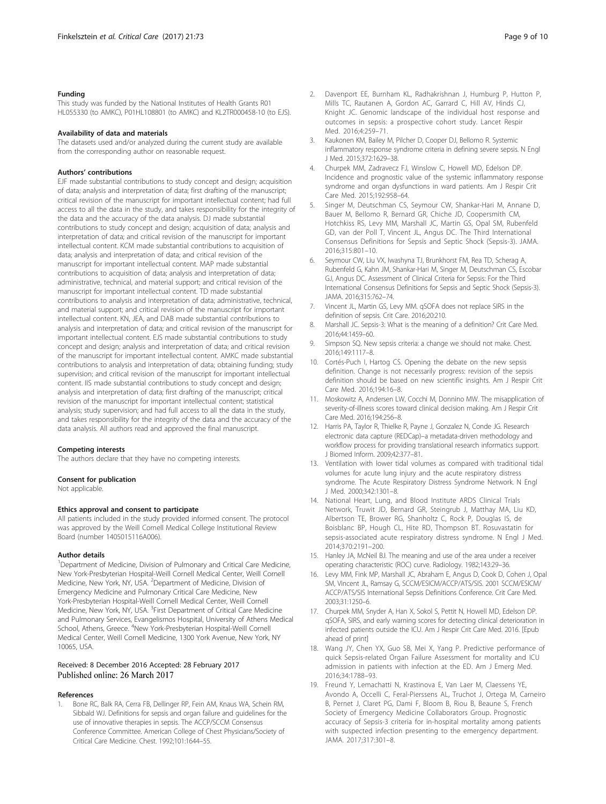# <span id="page-8-0"></span>Funding

This study was funded by the National Institutes of Health Grants R01 HL055330 (to AMKC), P01HL108801 (to AMKC) and KL2TR000458-10 (to EJS).

# Availability of data and materials

The datasets used and/or analyzed during the current study are available from the corresponding author on reasonable request.

#### Authors' contributions

EJF made substantial contributions to study concept and design; acquisition of data; analysis and interpretation of data; first drafting of the manuscript; critical revision of the manuscript for important intellectual content; had full access to all the data in the study, and takes responsibility for the integrity of the data and the accuracy of the data analysis. DJ made substantial contributions to study concept and design; acquisition of data; analysis and interpretation of data; and critical revision of the manuscript for important intellectual content. KCM made substantial contributions to acquisition of data; analysis and interpretation of data; and critical revision of the manuscript for important intellectual content. MAP made substantial contributions to acquisition of data; analysis and interpretation of data; administrative, technical, and material support; and critical revision of the manuscript for important intellectual content. TD made substantial contributions to analysis and interpretation of data; administrative, technical, and material support; and critical revision of the manuscript for important intellectual content. KN, JEA, and DAB made substantial contributions to analysis and interpretation of data; and critical revision of the manuscript for important intellectual content. EJS made substantial contributions to study concept and design; analysis and interpretation of data; and critical revision of the manuscript for important intellectual content. AMKC made substantial contributions to analysis and interpretation of data; obtaining funding; study supervision; and critical revision of the manuscript for important intellectual content. IIS made substantial contributions to study concept and design; analysis and interpretation of data; first drafting of the manuscript; critical revision of the manuscript for important intellectual content; statistical analysis; study supervision; and had full access to all the data in the study, and takes responsibility for the integrity of the data and the accuracy of the data analysis. All authors read and approved the final manuscript.

### Competing interests

The authors declare that they have no competing interests.

#### Consent for publication

Not applicable.

# Ethics approval and consent to participate

All patients included in the study provided informed consent. The protocol was approved by the Weill Cornell Medical College Institutional Review Board (number 1405015116A006).

### Author details

<sup>1</sup>Department of Medicine, Division of Pulmonary and Critical Care Medicine, New York-Presbyterian Hospital-Weill Cornell Medical Center, Weill Cornell Medicine, New York, NY, USA. <sup>2</sup>Department of Medicine, Division of Emergency Medicine and Pulmonary Critical Care Medicine, New York-Presbyterian Hospital-Weill Cornell Medical Center, Weill Cornell Medicine, New York, NY, USA. <sup>3</sup> First Department of Critical Care Medicine and Pulmonary Services, Evangelismos Hospital, University of Athens Medical School, Athens, Greece. <sup>4</sup>New York-Presbyterian Hospital-Weill Cornell Medical Center, Weill Cornell Medicine, 1300 York Avenue, New York, NY 10065, USA.

# Received: 8 December 2016 Accepted: 28 February 2017 Published online: 26 March 2017

# References

1. Bone RC, Balk RA, Cerra FB, Dellinger RP, Fein AM, Knaus WA, Schein RM, Sibbald WJ. Definitions for sepsis and organ failure and guidelines for the use of innovative therapies in sepsis. The ACCP/SCCM Consensus Conference Committee. American College of Chest Physicians/Society of Critical Care Medicine. Chest. 1992;101:1644–55.

- 2. Davenport EE, Burnham KL, Radhakrishnan J, Humburg P, Hutton P, Mills TC, Rautanen A, Gordon AC, Garrard C, Hill AV, Hinds CJ, Knight JC. Genomic landscape of the individual host response and outcomes in sepsis: a prospective cohort study. Lancet Respir Med. 2016;4:259–71.
- 3. Kaukonen KM, Bailey M, Pilcher D, Cooper DJ, Bellomo R. Systemic inflammatory response syndrome criteria in defining severe sepsis. N Engl J Med. 2015;372:1629–38.
- 4. Churpek MM, Zadravecz FJ, Winslow C, Howell MD, Edelson DP. Incidence and prognostic value of the systemic inflammatory response syndrome and organ dysfunctions in ward patients. Am J Respir Crit Care Med. 2015;192:958–64.
- 5. Singer M, Deutschman CS, Seymour CW, Shankar-Hari M, Annane D, Bauer M, Bellomo R, Bernard GR, Chiche JD, Coopersmith CM, Hotchkiss RS, Levy MM, Marshall JC, Martin GS, Opal SM, Rubenfeld GD, van der Poll T, Vincent JL, Angus DC. The Third International Consensus Definitions for Sepsis and Septic Shock (Sepsis-3). JAMA. 2016;315:801–10.
- 6. Seymour CW, Liu VX, Iwashyna TJ, Brunkhorst FM, Rea TD, Scherag A, Rubenfeld G, Kahn JM, Shankar-Hari M, Singer M, Deutschman CS, Escobar GJ, Angus DC. Assessment of Clinical Criteria for Sepsis: For the Third International Consensus Definitions for Sepsis and Septic Shock (Sepsis-3). JAMA. 2016;315:762–74.
- 7. Vincent JL, Martin GS, Levy MM. qSOFA does not replace SIRS in the definition of sepsis. Crit Care. 2016;20:210.
- 8. Marshall JC. Sepsis-3: What is the meaning of a definition? Crit Care Med. 2016;44:1459–60.
- 9. Simpson SQ. New sepsis criteria: a change we should not make. Chest. 2016;149:1117–8.
- 10. Cortés-Puch I, Hartog CS. Opening the debate on the new sepsis definition. Change is not necessarily progress: revision of the sepsis definition should be based on new scientific insights. Am J Respir Crit Care Med. 2016;194:16–8.
- 11. Moskowitz A, Andersen LW, Cocchi M, Donnino MW. The misapplication of severity-of-illness scores toward clinical decision making. Am J Respir Crit Care Med. 2016;194:256–8.
- 12. Harris PA, Taylor R, Thielke R, Payne J, Gonzalez N, Conde JG. Research electronic data capture (REDCap)–a metadata-driven methodology and workflow process for providing translational research informatics support. J Biomed Inform. 2009;42:377–81.
- 13. Ventilation with lower tidal volumes as compared with traditional tidal volumes for acute lung injury and the acute respiratory distress syndrome. The Acute Respiratory Distress Syndrome Network. N Engl J Med. 2000;342:1301–8.
- 14. National Heart, Lung, and Blood Institute ARDS Clinical Trials Network, Truwit JD, Bernard GR, Steingrub J, Matthay MA, Liu KD, Albertson TE, Brower RG, Shanholtz C, Rock P, Douglas IS, de Boisblanc BP, Hough CL, Hite RD, Thompson BT. Rosuvastatin for sepsis-associated acute respiratory distress syndrome. N Engl J Med. 2014;370:2191–200.
- 15. Hanley JA, McNeil BJ. The meaning and use of the area under a receiver operating characteristic (ROC) curve. Radiology. 1982;143:29–36.
- 16. Levy MM, Fink MP, Marshall JC, Abraham E, Angus D, Cook D, Cohen J, Opal SM, Vincent JL, Ramsay G, SCCM/ESICM/ACCP/ATS/SIS. 2001 SCCM/ESICM/ ACCP/ATS/SIS International Sepsis Definitions Conference. Crit Care Med. 2003;31:1250–6.
- 17. Churpek MM, Snyder A, Han X, Sokol S, Pettit N, Howell MD, Edelson DP. qSOFA, SIRS, and early warning scores for detecting clinical deterioration in infected patients outside the ICU. Am J Respir Crit Care Med. 2016. [Epub ahead of print]
- 18. Wang JY, Chen YX, Guo SB, Mei X, Yang P. Predictive performance of quick Sepsis-related Organ Failure Assessment for mortality and ICU admission in patients with infection at the ED. Am J Emerg Med. 2016;34:1788–93.
- 19. Freund Y, Lemachatti N, Krastinova E, Van Laer M, Claessens YE, Avondo A, Occelli C, Feral-Pierssens AL, Truchot J, Ortega M, Carneiro B, Pernet J, Claret PG, Dami F, Bloom B, Riou B, Beaune S, French Society of Emergency Medicine Collaborators Group. Prognostic accuracy of Sepsis-3 criteria for in-hospital mortality among patients with suspected infection presenting to the emergency department. JAMA. 2017;317:301–8.